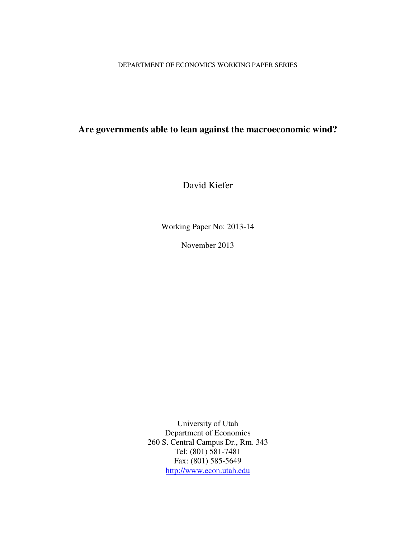DEPARTMENT OF ECONOMICS WORKING PAPER SERIES

# **Are governments able to lean against the macroeconomic wind?**

David Kiefer

Working Paper No: 2013-14

November 2013

University of Utah Department of Economics 260 S. Central Campus Dr., Rm. 343 Tel: (801) 581-7481 Fax: (801) 585-5649 http://www.econ.utah.edu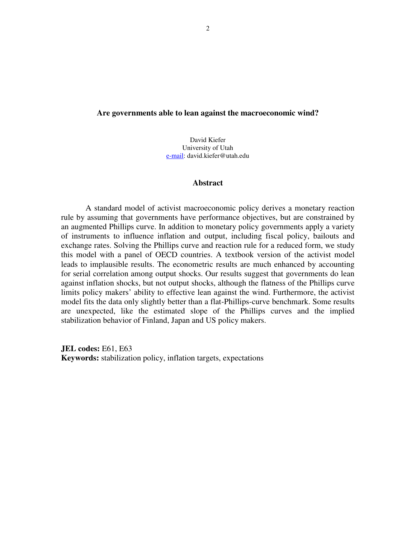## **Are governments able to lean against the macroeconomic wind?**

David Kiefer University of Utah e-mail: david.kiefer@utah.edu

## **Abstract**

A standard model of activist macroeconomic policy derives a monetary reaction rule by assuming that governments have performance objectives, but are constrained by an augmented Phillips curve. In addition to monetary policy governments apply a variety of instruments to influence inflation and output, including fiscal policy, bailouts and exchange rates. Solving the Phillips curve and reaction rule for a reduced form, we study this model with a panel of OECD countries. A textbook version of the activist model leads to implausible results. The econometric results are much enhanced by accounting for serial correlation among output shocks. Our results suggest that governments do lean against inflation shocks, but not output shocks, although the flatness of the Phillips curve limits policy makers' ability to effective lean against the wind. Furthermore, the activist model fits the data only slightly better than a flat-Phillips-curve benchmark. Some results are unexpected, like the estimated slope of the Phillips curves and the implied stabilization behavior of Finland, Japan and US policy makers.

**JEL codes:** E61, E63 **Keywords:** stabilization policy, inflation targets, expectations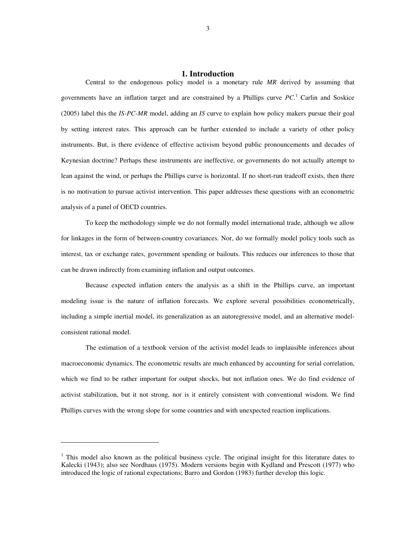#### **1. Introduction**

 Central to the endogenous policy model is a monetary rule *MR* derived by assuming that governments have an inflation target and are constrained by a Phillips curve *PC*. 1 Carlin and Soskice (2005) label this the *IS-PC-MR* model, adding an *IS* curve to explain how policy makers pursue their goal by setting interest rates. This approach can be further extended to include a variety of other policy instruments. But, is there evidence of effective activism beyond public pronouncements and decades of Keynesian doctrine? Perhaps these instruments are ineffective, or governments do not actually attempt to lean against the wind, or perhaps the Phillips curve is horizontal. If no short-run tradeoff exists, then there is no motivation to pursue activist intervention. This paper addresses these questions with an econometric analysis of a panel of OECD countries.

To keep the methodology simple we do not formally model international trade, although we allow for linkages in the form of between-country covariances. Nor, do we formally model policy tools such as interest, tax or exchange rates, government spending or bailouts. This reduces our inferences to those that can be drawn indirectly from examining inflation and output outcomes.

Because expected inflation enters the analysis as a shift in the Phillips curve, an important modeling issue is the nature of inflation forecasts. We explore several possibilities econometrically, including a simple inertial model, its generalization as an autoregressive model, and an alternative modelconsistent rational model.

The estimation of a textbook version of the activist model leads to implausible inferences about macroeconomic dynamics. The econometric results are much enhanced by accounting for serial correlation, which we find to be rather important for output shocks, but not inflation ones. We do find evidence of activist stabilization, but it not strong, nor is it entirely consistent with conventional wisdom. We find Phillips curves with the wrong slope for some countries and with unexpected reaction implications.

<sup>&</sup>lt;sup>1</sup> This model also known as the political business cycle. The original insight for this literature dates to Kalecki (1943); also see Nordhaus (1975). Modern versions begin with Kydland and Prescott (1977) who introduced the logic of rational expectations; Barro and Gordon (1983) further develop this logic.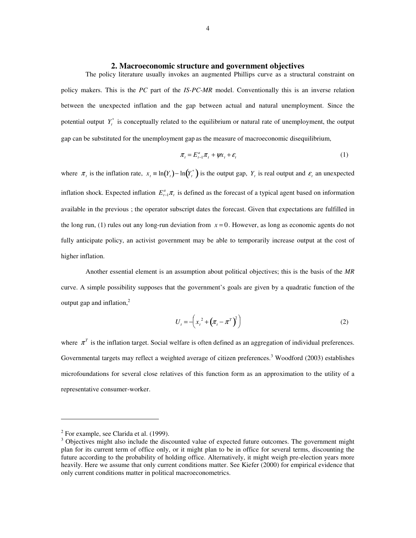#### **2. Macroeconomic structure and government objectives**

The policy literature usually invokes an augmented Phillips curve as a structural constraint on policy makers. This is the *PC* part of the *IS-PC-MR* model. Conventionally this is an inverse relation between the unexpected inflation and the gap between actual and natural unemployment. Since the potential output  $Y_t^*$  is conceptually related to the equilibrium or natural rate of unemployment, the output gap can be substituted for the unemployment gap as the measure of macroeconomic disequilibrium,

$$
\pi_t = E_{t-1}^a \pi_t + \psi x_t + \varepsilon_t \tag{1}
$$

where  $\pi$ <sub>*t*</sub> is the inflation rate,  $x$ <sub>*t*</sub> ≡ ln(*Y*<sub>*t*</sub>) – ln(*Y*<sub>*t*</sub><sup>\*</sup>) is the output gap, *Y*<sub>*t*</sub> is real output and  $\varepsilon$ <sub>*t*</sub> an unexpected inflation shock. Expected inflation  $E_{t-1}^a \pi_t$  is defined as the forecast of a typical agent based on information available in the previous ; the operator subscript dates the forecast. Given that expectations are fulfilled in the long run, (1) rules out any long-run deviation from  $x = 0$ . However, as long as economic agents do not fully anticipate policy, an activist government may be able to temporarily increase output at the cost of higher inflation.

Another essential element is an assumption about political objectives; this is the basis of the *MR*  curve. A simple possibility supposes that the government's goals are given by a quadratic function of the output gap and inflation, $2$ 

$$
U_t = -\left(x_t^2 + \left(\pi_t - \pi^T\right)^2\right) \tag{2}
$$

where  $\pi^T$  is the inflation target. Social welfare is often defined as an aggregation of individual preferences. Governmental targets may reflect a weighted average of citizen preferences.<sup>3</sup> Woodford (2003) establishes microfoundations for several close relatives of this function form as an approximation to the utility of a representative consumer-worker.

 $2^2$  For example, see Clarida et al. (1999).

<sup>&</sup>lt;sup>3</sup> Objectives might also include the discounted value of expected future outcomes. The government might plan for its current term of office only, or it might plan to be in office for several terms, discounting the future according to the probability of holding office. Alternatively, it might weigh pre-election years more heavily. Here we assume that only current conditions matter. See Kiefer (2000) for empirical evidence that only current conditions matter in political macroeconometrics.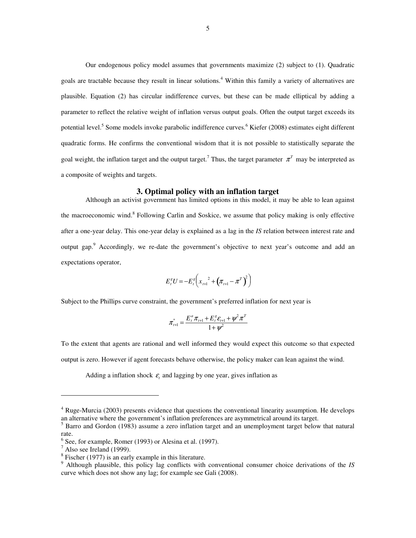Our endogenous policy model assumes that governments maximize (2) subject to (1). Quadratic goals are tractable because they result in linear solutions.<sup>4</sup> Within this family a variety of alternatives are plausible. Equation (2) has circular indifference curves, but these can be made elliptical by adding a parameter to reflect the relative weight of inflation versus output goals. Often the output target exceeds its potential level.<sup>5</sup> Some models invoke parabolic indifference curves.<sup>6</sup> Kiefer (2008) estimates eight different quadratic forms. He confirms the conventional wisdom that it is not possible to statistically separate the goal weight, the inflation target and the output target.<sup>7</sup> Thus, the target parameter  $\pi^T$  may be interpreted as a composite of weights and targets.

## **3. Optimal policy with an inflation target**

Although an activist government has limited options in this model, it may be able to lean against the macroeconomic wind.<sup>8</sup> Following Carlin and Soskice, we assume that policy making is only effective after a one-year delay. This one-year delay is explained as a lag in the *IS* relation between interest rate and output gap.<sup>9</sup> Accordingly, we re-date the government's objective to next year's outcome and add an expectations operator,

$$
E_t^s U = -E_t^s \bigg( x_{t+1}^2 + \big( \pi_{t+1} - \pi^T \big)^2 \bigg)
$$

Subject to the Phillips curve constraint, the government's preferred inflation for next year is

$$
\pi_{t+1}^* = \frac{E_t^a \pi_{t+1} + E_t^g \varepsilon_{t+1} + \psi^2 \pi^T}{1 + \psi^2}
$$

To the extent that agents are rational and well informed they would expect this outcome so that expected output is zero. However if agent forecasts behave otherwise, the policy maker can lean against the wind.

Adding a inflation shock  $\varepsilon$ <sub>*t*</sub> and lagging by one year, gives inflation as

<sup>&</sup>lt;sup>4</sup> Ruge-Murcia (2003) presents evidence that questions the conventional linearity assumption. He develops an alternative where the government's inflation preferences are asymmetrical around its target.

<sup>&</sup>lt;sup>5</sup> Barro and Gordon (1983) assume a zero inflation target and an unemployment target below that natural rate.

 $<sup>6</sup>$  See, for example, Romer (1993) or Alesina et al. (1997).</sup>

 $^7$  Also see Ireland (1999).

 $8$  Fischer (1977) is an early example in this literature.

<sup>9</sup> Although plausible, this policy lag conflicts with conventional consumer choice derivations of the *IS* curve which does not show any lag; for example see Gali (2008).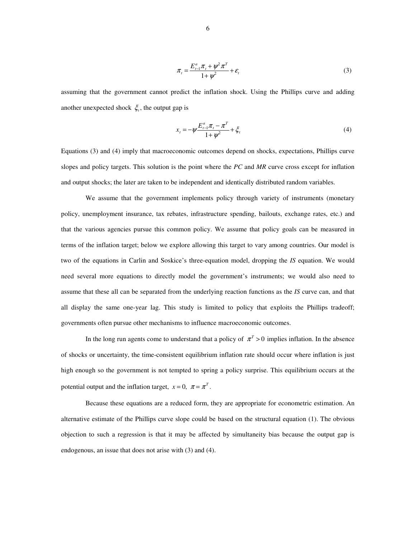$$
\pi_t = \frac{E_{t-1}^a \pi_t + \psi^2 \pi^T}{1 + \psi^2} + \varepsilon_t
$$
\n(3)

assuming that the government cannot predict the inflation shock. Using the Phillips curve and adding another unexpected shock  $\xi$ , the output gap is

$$
x_{t} = -\psi \frac{E_{t-1}^{a} \pi_{t} - \pi^{T}}{1 + \psi^{2}} + \xi_{t}
$$
 (4)

Equations (3) and (4) imply that macroeconomic outcomes depend on shocks, expectations, Phillips curve slopes and policy targets. This solution is the point where the *PC* and *MR* curve cross except for inflation and output shocks; the later are taken to be independent and identically distributed random variables.

We assume that the government implements policy through variety of instruments (monetary policy, unemployment insurance, tax rebates, infrastructure spending, bailouts, exchange rates, etc.) and that the various agencies pursue this common policy. We assume that policy goals can be measured in terms of the inflation target; below we explore allowing this target to vary among countries. Our model is two of the equations in Carlin and Soskice's three-equation model, dropping the *IS* equation. We would need several more equations to directly model the government's instruments; we would also need to assume that these all can be separated from the underlying reaction functions as the *IS* curve can, and that all display the same one-year lag. This study is limited to policy that exploits the Phillips tradeoff; governments often pursue other mechanisms to influence macroeconomic outcomes.

In the long run agents come to understand that a policy of  $\pi^T > 0$  implies inflation. In the absence of shocks or uncertainty, the time-consistent equilibrium inflation rate should occur where inflation is just high enough so the government is not tempted to spring a policy surprise. This equilibrium occurs at the potential output and the inflation target,  $x = 0$ ,  $\pi = \pi^T$ .

Because these equations are a reduced form, they are appropriate for econometric estimation. An alternative estimate of the Phillips curve slope could be based on the structural equation (1). The obvious objection to such a regression is that it may be affected by simultaneity bias because the output gap is endogenous, an issue that does not arise with (3) and (4).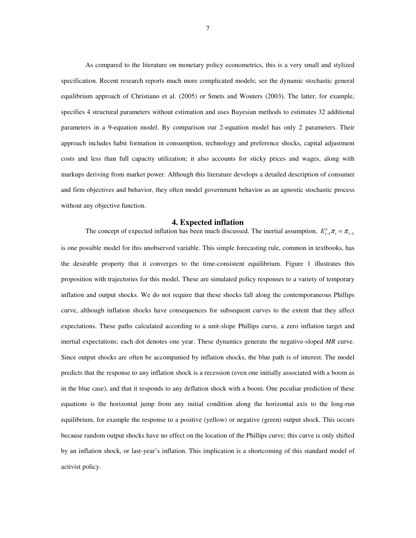As compared to the literature on monetary policy econometrics, this is a very small and stylized specification. Recent research reports much more complicated models; see the dynamic stochastic general equilibrium approach of Christiano et al. (2005) or Smets and Wouters (2003). The latter, for example, specifies 4 structural parameters without estimation and uses Bayesian methods to estimates 32 additional parameters in a 9-equation model. By comparison our 2-equation model has only 2 parameters. Their approach includes habit formation in consumption, technology and preference shocks, capital adjustment costs and less than full capacity utilization; it also accounts for sticky prices and wages, along with markups deriving from market power. Although this literature develops a detailed description of consumer and firm objectives and behavior, they often model government behavior as an agnostic stochastic process without any objective function.

#### **4. Expected inflation**

The concept of expected inflation has been much discussed. The inertial assumption,  $E_{t-1}^a \pi_t = \pi_{t-1}$ is one possible model for this unobserved variable. This simple forecasting rule, common in textbooks, has the desirable property that it converges to the time-consistent equilibrium. Figure 1 illustrates this proposition with trajectories for this model. These are simulated policy responses to a variety of temporary inflation and output shocks. We do not require that these shocks fall along the contemporaneous Phillips curve, although inflation shocks have consequences for subsequent curves to the extent that they affect expectations. These paths calculated according to a unit-slope Phillips curve, a zero inflation target and inertial expectations; each dot denotes one year. These dynamics generate the negative-sloped *MR* curve. Since output shocks are often be accompanied by inflation shocks, the blue path is of interest. The model predicts that the response to any inflation shock is a recession (even one initially associated with a boom as in the blue case), and that it responds to any deflation shock with a boom. One peculiar prediction of these equations is the horizontal jump from any initial condition along the horizontal axis to the long-run equilibrium, for example the response to a positive (yellow) or negative (green) output shock. This occurs because random output shocks have no effect on the location of the Phillips curve; this curve is only shifted by an inflation shock, or last-year's inflation. This implication is a shortcoming of this standard model of activist policy.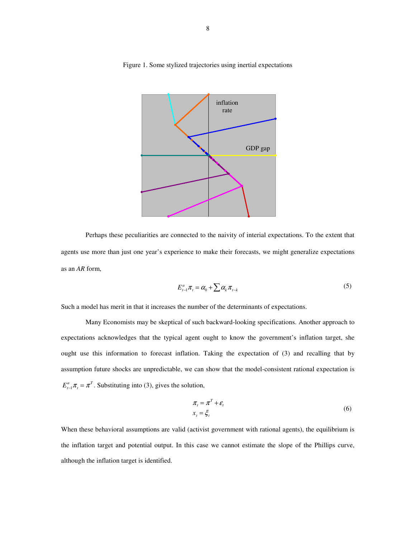

Figure 1. Some stylized trajectories using inertial expectations

Perhaps these peculiarities are connected to the naivity of interial expectations. To the extent that agents use more than just one year's experience to make their forecasts, we might generalize expectations as an *AR* form,

$$
E_{t-1}^a \pi_t = \alpha_0 + \sum \alpha_k \pi_{t-k} \tag{5}
$$

Such a model has merit in that it increases the number of the determinants of expectations.

Many Economists may be skeptical of such backward-looking specifications. Another approach to expectations acknowledges that the typical agent ought to know the government's inflation target, she ought use this information to forecast inflation. Taking the expectation of (3) and recalling that by assumption future shocks are unpredictable, we can show that the model-consistent rational expectation is  $E_{t-1}^a \pi_t = \pi^T$ . Substituting into (3), gives the solution,

$$
\pi_t = \pi^T + \varepsilon_t
$$
  
\n
$$
x_t = \xi_t
$$
 (6)

When these behavioral assumptions are valid (activist government with rational agents), the equilibrium is the inflation target and potential output. In this case we cannot estimate the slope of the Phillips curve, although the inflation target is identified.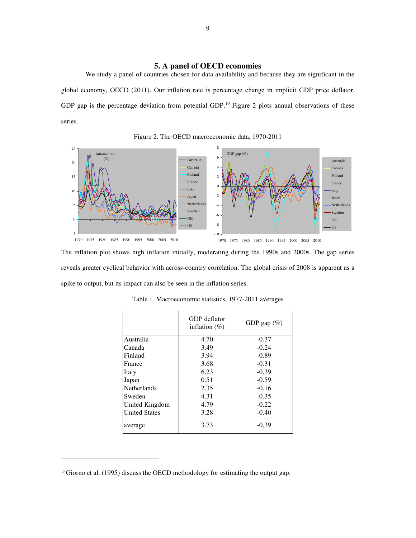## **5. A panel of OECD economies**

We study a panel of countries chosen for data availability and because they are significant in the global economy, OECD (2011). Our inflation rate is percentage change in implicit GDP price deflator. GDP gap is the percentage deviation from potential GDP.<sup>10</sup> Figure 2 plots annual observations of these series.



Figure 2. The OECD macroeconomic data, 1970-2011

The inflation plot shows high inflation initially, moderating during the 1990s and 2000s. The gap series reveals greater cyclical behavior with across-country correlation. The global crisis of 2008 is apparent as a spike to output, but its impact can also be seen in the inflation series.

|                      | GDP deflator<br>inflation $(\% )$ | GDP gap $(\%)$ |
|----------------------|-----------------------------------|----------------|
| Australia            | 4.70                              | $-0.37$        |
| Canada               | 3.49                              | $-0.24$        |
| Finland              | 3.94                              | $-0.89$        |
| France               | 3.68                              | $-0.31$        |
| Italy                | 6.23                              | $-0.39$        |
| Japan                | 0.51                              | $-0.59$        |
| <b>Netherlands</b>   | 2.35                              | $-0.16$        |
| Sweden               | 4.31                              | $-0.35$        |
| United Kingdom       | 4.79                              | $-0.22$        |
| <b>United States</b> | 3.28                              | $-0.40$        |
| average              | 3.73                              | $-0.39$        |

|  |  | Table 1. Macroeconomic statistics, 1977-2011 averages |  |  |
|--|--|-------------------------------------------------------|--|--|
|--|--|-------------------------------------------------------|--|--|

j

<sup>&</sup>lt;sup>10</sup> Giorno et al. (1995) discuss the OECD methodology for estimating the output gap.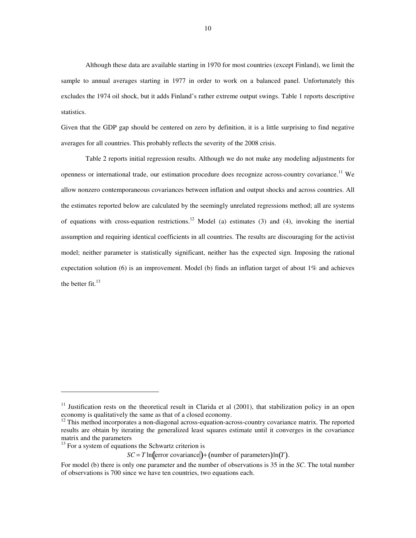Although these data are available starting in 1970 for most countries (except Finland), we limit the sample to annual averages starting in 1977 in order to work on a balanced panel. Unfortunately this excludes the 1974 oil shock, but it adds Finland's rather extreme output swings. Table 1 reports descriptive statistics.

Given that the GDP gap should be centered on zero by definition, it is a little surprising to find negative averages for all countries. This probably reflects the severity of the 2008 crisis.

Table 2 reports initial regression results. Although we do not make any modeling adjustments for openness or international trade, our estimation procedure does recognize across-country covariance.<sup>11</sup> We allow nonzero contemporaneous covariances between inflation and output shocks and across countries. All the estimates reported below are calculated by the seemingly unrelated regressions method; all are systems of equations with cross-equation restrictions.<sup>12</sup> Model (a) estimates (3) and (4), invoking the inertial assumption and requiring identical coefficients in all countries. The results are discouraging for the activist model; neither parameter is statistically significant, neither has the expected sign. Imposing the rational expectation solution (6) is an improvement. Model (b) finds an inflation target of about 1% and achieves the better fit. $^{13}$ 

-

<sup>&</sup>lt;sup>11</sup> Justification rests on the theoretical result in Clarida et al  $(2001)$ , that stabilization policy in an open economy is qualitatively the same as that of a closed economy.

 $12$  This method incorporates a non-diagonal across-equation-across-country covariance matrix. The reported results are obtain by iterating the generalized least squares estimate until it converges in the covariance matrix and the parameters

 $13$  For a system of equations the Schwartz criterion is

 $SC = T \ln(\text{error covariance}) + (\text{number of parameters})\ln(T)$ .

For model (b) there is only one parameter and the number of observations is 35 in the *SC*. The total number of observations is 700 since we have ten countries, two equations each.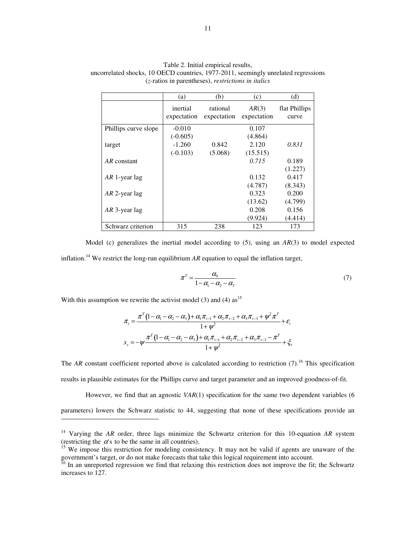|                      | (a)                     | (b)                     | (c)                  | (d)                    |
|----------------------|-------------------------|-------------------------|----------------------|------------------------|
|                      | inertial<br>expectation | rational<br>expectation | AR(3)<br>expectation | flat Phillips<br>curve |
| Phillips curve slope | $-0.010$                |                         | 0.107                |                        |
|                      | $(-0.605)$              |                         | (4.864)              |                        |
| target               | $-1.260$                | 0.842                   | 2.120                | 0.831                  |
|                      | $(-0.103)$              | (5.068)                 | (15.515)             |                        |
| $AR$ constant        |                         |                         | 0.715                | 0.189                  |
|                      |                         |                         |                      | (1.227)                |
| $AR$ 1-year lag      |                         |                         | 0.132                | 0.417                  |
|                      |                         |                         | (4.787)              | (8.343)                |
| $AR$ 2-year lag      |                         |                         | 0.323                | 0.200                  |
|                      |                         |                         | (13.62)              | (4.799)                |
| $AR$ 3-year lag      |                         |                         | 0.208                | 0.156                  |
|                      |                         |                         | (9.924)              | (4.414)                |
| Schwarz criterion    | 315                     | 238                     | 123                  | 173                    |

Table 2. Initial empirical results, uncorrelated shocks, 10 OECD countries, 1977-2011, seemingly unrelated regressions (*z-*ratios in parentheses), *restrictions in italics*

Model (c) generalizes the inertial model according to (5), using an *AR*(3) to model expected inflation.<sup>14</sup> We restrict the long-run equilibrium  $AR$  equation to equal the inflation target,

$$
\pi^T = \frac{\alpha_0}{1 - \alpha_1 - \alpha_2 - \alpha_3} \tag{7}
$$

With this assumption we rewrite the activist model (3) and (4) as<sup>15</sup>

j

$$
\pi_{t} = \frac{\pi^{T} (1 - \alpha_{1} - \alpha_{2} - \alpha_{3}) + \alpha_{1} \pi_{t-1} + \alpha_{2} \pi_{t-2} + \alpha_{3} \pi_{t-3} + \psi^{2} \pi^{T}}{1 + \psi^{2}} + \varepsilon_{t}
$$
\n
$$
x_{t} = -\psi \frac{\pi^{T} (1 - \alpha_{1} - \alpha_{2} - \alpha_{3}) + \alpha_{1} \pi_{t-1} + \alpha_{2} \pi_{t-2} + \alpha_{3} \pi_{t-3} - \pi^{T}}{1 + \psi^{2}} + \xi_{t}
$$

The *AR* constant coefficient reported above is calculated according to restriction  $(7)$ .<sup>16</sup> This specification results in plausible estimates for the Phillips curve and target parameter and an improved goodness-of-fit.

However, we find that an agnostic *VAR*(1) specification for the same two dependent variables (6 parameters) lowers the Schwarz statistic to 44, suggesting that none of these specifications provide an

<sup>14</sup> Varying the *AR* order, three lags minimize the Schwartz criterion for this 10-equation *AR* system (restricting the  $\alpha$ 's to be the same in all countries).

<sup>&</sup>lt;sup>15</sup> We impose this restriction for modeling consistency. It may not be valid if agents are unaware of the government's target, or do not make forecasts that take this logical requirement into account.

<sup>&</sup>lt;sup>16</sup> In an unreported regression we find that relaxing this restriction does not improve the fit; the Schwartz increases to 127.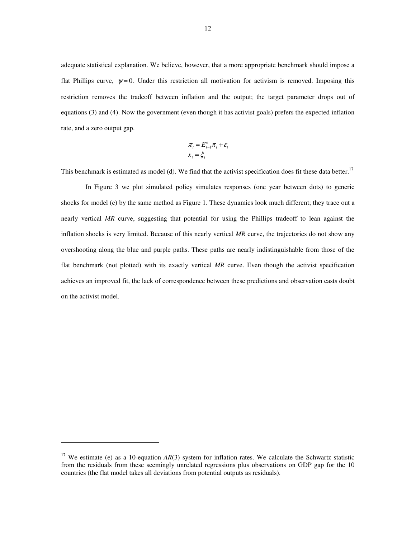adequate statistical explanation. We believe, however, that a more appropriate benchmark should impose a flat Phillips curve,  $\psi = 0$ . Under this restriction all motivation for activism is removed. Imposing this restriction removes the tradeoff between inflation and the output; the target parameter drops out of equations (3) and (4). Now the government (even though it has activist goals) prefers the expected inflation rate, and a zero output gap.

$$
\pi_t = E_{t-1}^a \pi_t + \varepsilon_t
$$

$$
x_t = \xi_t
$$

This benchmark is estimated as model (d). We find that the activist specification does fit these data better.<sup>17</sup>

 In Figure 3 we plot simulated policy simulates responses (one year between dots) to generic shocks for model (c) by the same method as Figure 1. These dynamics look much different; they trace out a nearly vertical *MR* curve, suggesting that potential for using the Phillips tradeoff to lean against the inflation shocks is very limited. Because of this nearly vertical *MR* curve, the trajectories do not show any overshooting along the blue and purple paths. These paths are nearly indistinguishable from those of the flat benchmark (not plotted) with its exactly vertical *MR* curve. Even though the activist specification achieves an improved fit, the lack of correspondence between these predictions and observation casts doubt on the activist model.

<sup>&</sup>lt;sup>17</sup> We estimate (e) as a 10-equation  $AR(3)$  system for inflation rates. We calculate the Schwartz statistic from the residuals from these seemingly unrelated regressions plus observations on GDP gap for the 10 countries (the flat model takes all deviations from potential outputs as residuals).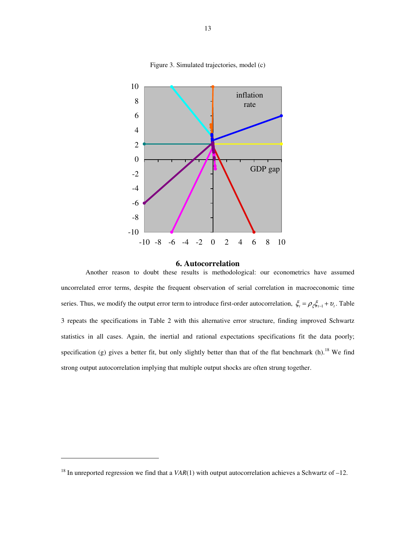



#### **6. Autocorrelation**

Another reason to doubt these results is methodological: our econometrics have assumed uncorrelated error terms, despite the frequent observation of serial correlation in macroeconomic time series. Thus, we modify the output error term to introduce first-order autocorrelation,  $\xi_t = \rho_{\xi} \xi_{t-1} + v_t$ . Table 3 repeats the specifications in Table 2 with this alternative error structure, finding improved Schwartz statistics in all cases. Again, the inertial and rational expectations specifications fit the data poorly; specification (g) gives a better fit, but only slightly better than that of the flat benchmark (h).<sup>18</sup> We find strong output autocorrelation implying that multiple output shocks are often strung together.

j

<sup>&</sup>lt;sup>18</sup> In unreported regression we find that a  $VAR(1)$  with output autocorrelation achieves a Schwartz of -12.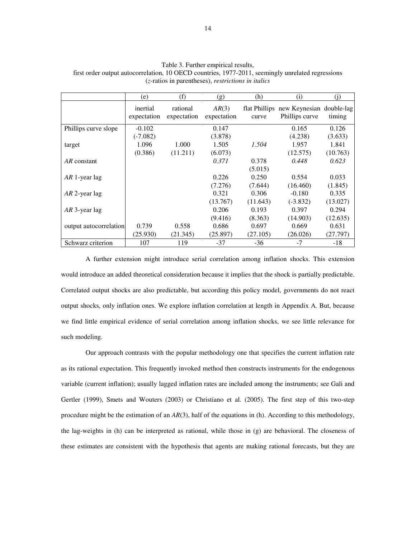|                        | (e)                     | (f)                     | (g)                  | (h)      | (i)                                                      | (1)      |
|------------------------|-------------------------|-------------------------|----------------------|----------|----------------------------------------------------------|----------|
|                        | inertial<br>expectation | rational<br>expectation | AR(3)<br>expectation | curve    | flat Phillips new Keynesian double-lag<br>Phillips curve | timing   |
| Phillips curve slope   | $-0.102$                |                         | 0.147                |          | 0.165                                                    | 0.126    |
|                        | $(-7.082)$              |                         | (3.878)              |          | (4.238)                                                  | (3.633)  |
| target                 | 1.096                   | 1.000                   | 1.505                | 1.504    | 1.957                                                    | 1.841    |
|                        | (0.386)                 | (11.211)                | (6.073)              |          | (12.575)                                                 | (10.763) |
| AR constant            |                         |                         | 0.371                | 0.378    | 0.448                                                    | 0.623    |
|                        |                         |                         |                      | (5.015)  |                                                          |          |
| AR 1-year lag          |                         |                         | 0.226                | 0.250    | 0.554                                                    | 0.033    |
|                        |                         |                         | (7.276)              | (7.644)  | (16.460)                                                 | (1.845)  |
| AR 2-year lag          |                         |                         | 0.321                | 0.306    | $-0.180$                                                 | 0.335    |
|                        |                         |                         | (13.767)             | (11.643) | $(-3.832)$                                               | (13.027) |
| $AR$ 3-year lag        |                         |                         | 0.206                | 0.193    | 0.397                                                    | 0.294    |
|                        |                         |                         | (9.416)              | (8.363)  | (14.903)                                                 | (12.635) |
| output autocorrelation | 0.739                   | 0.558                   | 0.686                | 0.697    | 0.669                                                    | 0.631    |
|                        | (25.930)                | (21.345)                | (25.897)             | (27.105) | (26.026)                                                 | (27.797) |
| Schwarz criterion      | 107                     | 119                     | $-37$                | $-36$    | $-7$                                                     | -18      |

Table 3. Further empirical results, first order output autocorrelation, 10 OECD countries, 1977-2011, seemingly unrelated regressions (*z-*ratios in parentheses), *restrictions in italics*

A further extension might introduce serial correlation among inflation shocks. This extension would introduce an added theoretical consideration because it implies that the shock is partially predictable. Correlated output shocks are also predictable, but according this policy model, governments do not react output shocks, only inflation ones. We explore inflation correlation at length in Appendix A. But, because we find little empirical evidence of serial correlation among inflation shocks, we see little relevance for such modeling.

Our approach contrasts with the popular methodology one that specifies the current inflation rate as its rational expectation. This frequently invoked method then constructs instruments for the endogenous variable (current inflation); usually lagged inflation rates are included among the instruments; see Gali and Gertler (1999), Smets and Wouters (2003) or Christiano et al. (2005). The first step of this two-step procedure might be the estimation of an *AR*(3), half of the equations in (h). According to this methodology, the lag-weights in (h) can be interpreted as rational, while those in (g) are behavioral. The closeness of these estimates are consistent with the hypothesis that agents are making rational forecasts, but they are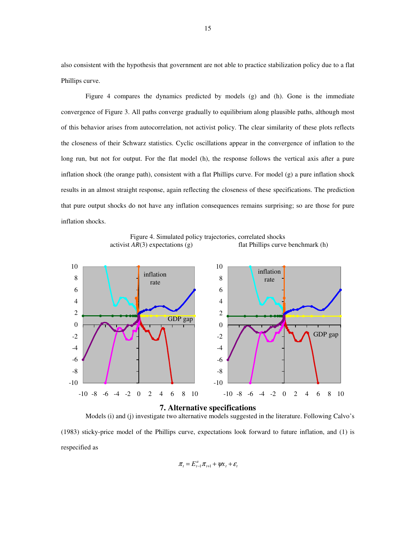also consistent with the hypothesis that government are not able to practice stabilization policy due to a flat Phillips curve.

Figure 4 compares the dynamics predicted by models (g) and (h). Gone is the immediate convergence of Figure 3. All paths converge gradually to equilibrium along plausible paths, although most of this behavior arises from autocorrelation, not activist policy. The clear similarity of these plots reflects the closeness of their Schwarz statistics. Cyclic oscillations appear in the convergence of inflation to the long run, but not for output. For the flat model (h), the response follows the vertical axis after a pure inflation shock (the orange path), consistent with a flat Phillips curve. For model (g) a pure inflation shock results in an almost straight response, again reflecting the closeness of these specifications. The prediction that pure output shocks do not have any inflation consequences remains surprising; so are those for pure inflation shocks.

Figure 4. Simulated policy trajectories, correlated shocks activist *AR*(3) expectations (g) flat Phillips curve benchmark (h)



## **7. Alternative specifications**

Models (i) and (j) investigate two alternative models suggested in the literature. Following Calvo's (1983) sticky-price model of the Phillips curve, expectations look forward to future inflation, and (1) is respecified as

$$
\pi_t = E_{t-1}^a \pi_{t+1} + \psi x_t + \varepsilon_t
$$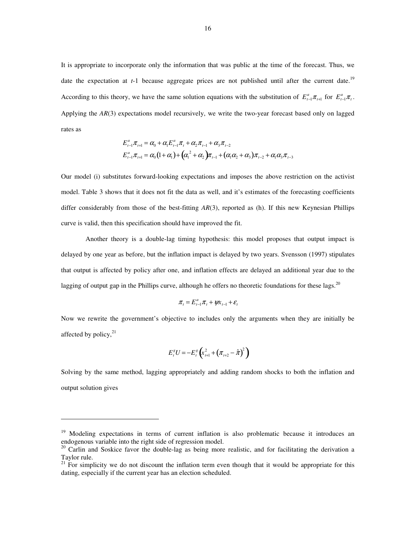It is appropriate to incorporate only the information that was public at the time of the forecast. Thus, we date the expectation at *t*-1 because aggregate prices are not published until after the current date.<sup>19</sup> According to this theory, we have the same solution equations with the substitution of  $E_{t-1}^a \pi_{t+1}$  for  $E_{t-1}^a \pi_t$ . Applying the *AR*(3) expectations model recursively, we write the two-year forecast based only on lagged rates as

$$
E_{t-1}^{a} \pi_{t+1} = \alpha_0 + \alpha_1 E_{t-1}^{a} \pi_t + \alpha_2 \pi_{t-1} + \alpha_3 \pi_{t-2}
$$
  

$$
E_{t-1}^{a} \pi_{t+1} = \alpha_0 (1 + \alpha_1) + (\alpha_1^2 + \alpha_2) \pi_{t-1} + (\alpha_1 \alpha_2 + \alpha_3) \pi_{t-2} + \alpha_1 \alpha_3 \pi_{t-3}
$$

Our model (i) substitutes forward-looking expectations and imposes the above restriction on the activist model. Table 3 shows that it does not fit the data as well, and it's estimates of the forecasting coefficients differ considerably from those of the best-fitting *AR*(3), reported as (h). If this new Keynesian Phillips curve is valid, then this specification should have improved the fit.

Another theory is a double-lag timing hypothesis: this model proposes that output impact is delayed by one year as before, but the inflation impact is delayed by two years. Svensson (1997) stipulates that output is affected by policy after one, and inflation effects are delayed an additional year due to the lagging of output gap in the Phillips curve, although he offers no theoretic foundations for these lags.<sup>20</sup>

$$
\pi_t = E_{t-1}^a \pi_t + \psi x_{t-1} + \varepsilon_t
$$

Now we rewrite the government's objective to includes only the arguments when they are initially be affected by policy, $21$ 

$$
E_t^s U = -E_t^s \left( x_{t+1}^2 + \left( \pi_{t+2} - \hat{\pi} \right)^2 \right)
$$

Solving by the same method, lagging appropriately and adding random shocks to both the inflation and output solution gives

<sup>&</sup>lt;sup>19</sup> Modeling expectations in terms of current inflation is also problematic because it introduces an endogenous variable into the right side of regression model.

<sup>&</sup>lt;sup>20</sup> Carlin and Soskice favor the double-lag as being more realistic, and for facilitating the derivation a Taylor rule.

 $21^{21}$  For simplicity we do not discount the inflation term even though that it would be appropriate for this dating, especially if the current year has an election scheduled.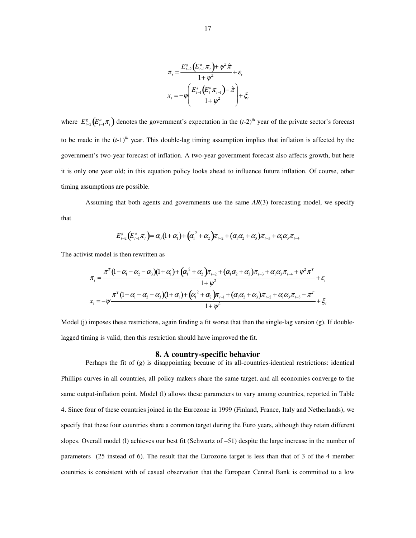$$
\pi_{t} = \frac{E_{t-2}^{g} \left( E_{t-1}^{a} \pi_{t} \right) + \psi^{2} \hat{\pi}}{1 + \psi^{2}} + \varepsilon_{t}
$$
\n
$$
x_{t} = -\psi \left( \frac{E_{t-1}^{g} \left( E_{t}^{a} \pi_{t+1} \right) - \hat{\pi}}{1 + \psi^{2}} \right) + \xi_{t}
$$

where  $E_{t-2}^g(E_{t-1}^a \pi_t)$  denotes the government's expectation in the  $(t-2)^{th}$  year of the private sector's forecast to be made in the  $(t-1)^{th}$  year. This double-lag timing assumption implies that inflation is affected by the government's two-year forecast of inflation. A two-year government forecast also affects growth, but here it is only one year old; in this equation policy looks ahead to influence future inflation. Of course, other timing assumptions are possible.

 Assuming that both agents and governments use the same *AR*(3) forecasting model, we specify that

$$
E_{t-2}^{s}(E_{t-1}^{a}\pi_{t})= \alpha_{0}(1+\alpha_{1})+(\alpha_{1}^{2}+\alpha_{2})\pi_{t-2}+(\alpha_{1}\alpha_{2}+\alpha_{3})\pi_{t-3}+\alpha_{1}\alpha_{3}\pi_{t-4}
$$

The activist model is then rewritten as

$$
\pi_{t} = \frac{\pi^{T} (1 - \alpha_{1} - \alpha_{2} - \alpha_{3}) (1 + \alpha_{1}) + (\alpha_{1}^{2} + \alpha_{2}) \pi_{t-2} + (\alpha_{1} \alpha_{2} + \alpha_{3}) \pi_{t-3} + \alpha_{1} \alpha_{3} \pi_{t-4} + \psi^{2} \pi^{T}}{1 + \psi^{2}} + \varepsilon_{t}
$$
\n
$$
x_{t} = -\psi \frac{\pi^{T} (1 - \alpha_{1} - \alpha_{2} - \alpha_{3}) (1 + \alpha_{1}) + (\alpha_{1}^{2} + \alpha_{2}) \pi_{t-1} + (\alpha_{1} \alpha_{2} + \alpha_{3}) \pi_{t-2} + \alpha_{1} \alpha_{3} \pi_{t-3} - \pi^{T}}{1 + \psi^{2}} + \xi_{t}
$$

Model (j) imposes these restrictions, again finding a fit worse that than the single-lag version (g). If doublelagged timing is valid, then this restriction should have improved the fit.

#### **8. A country-specific behavior**

Perhaps the fit of (g) is disappointing because of its all-countries-identical restrictions: identical Phillips curves in all countries, all policy makers share the same target, and all economies converge to the same output-inflation point. Model (1) allows these parameters to vary among countries, reported in Table 4. Since four of these countries joined in the Eurozone in 1999 (Finland, France, Italy and Netherlands), we specify that these four countries share a common target during the Euro years, although they retain different slopes. Overall model (l) achieves our best fit (Schwartz of –51) despite the large increase in the number of parameters (25 instead of 6). The result that the Eurozone target is less than that of 3 of the 4 member countries is consistent with of casual observation that the European Central Bank is committed to a low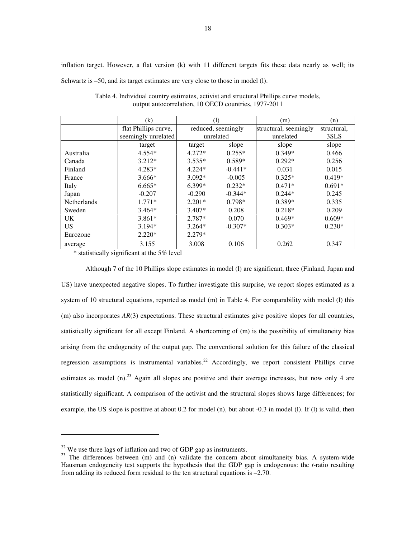inflation target. However, a flat version (k) with 11 different targets fits these data nearly as well; its

Schwartz is –50, and its target estimates are very close to those in model (l).

|                    | (k)                  | (1)                |           | (m)                   | (n)         |
|--------------------|----------------------|--------------------|-----------|-----------------------|-------------|
|                    | flat Phillips curve, | reduced, seemingly |           | structural, seemingly | structural, |
|                    | seemingly unrelated  | unrelated          |           | unrelated             | 3SLS        |
|                    | target               | target             | slope     | slope                 | slope       |
| Australia          | $4.554*$             | $4.272*$           | $0.255*$  | $0.349*$              | 0.466       |
| Canada             | $3.212*$             | $3.535*$           | $0.589*$  | $0.292*$              | 0.256       |
| Finland            | $4.283*$             | $4.224*$           | $-0.441*$ | 0.031                 | 0.015       |
| France             | $3.666*$             | $3.092*$           | $-0.005$  | $0.325*$              | $0.419*$    |
| Italy              | $6.665*$             | 6.399*             | $0.232*$  | $0.471*$              | $0.691*$    |
| Japan              | $-0.207$             | $-0.290$           | $-0.344*$ | $0.244*$              | 0.245       |
| <b>Netherlands</b> | $1.771*$             | $2.201*$           | $0.798*$  | $0.389*$              | 0.335       |
| Sweden             | $3.464*$             | $3.407*$           | 0.208     | $0.218*$              | 0.209       |
| <b>UK</b>          | $3.861*$             | 2.787*             | 0.070     | $0.469*$              | $0.609*$    |
| <b>US</b>          | $3.194*$             | $3.264*$           | $-0.307*$ | $0.303*$              | $0.230*$    |
| Eurozone           | $2.220*$             | $2.279*$           |           |                       |             |
| average            | 3.155                | 3.008              | 0.106     | 0.262                 | 0.347       |

Table 4. Individual country estimates, activist and structural Phillips curve models, output autocorrelation, 10 OECD countries, 1977-2011

\* statistically significant at the 5% level

Although 7 of the 10 Phillips slope estimates in model (l) are significant, three (Finland, Japan and US) have unexpected negative slopes. To further investigate this surprise, we report slopes estimated as a system of 10 structural equations, reported as model (m) in Table 4. For comparability with model (l) this (m) also incorporates *AR*(3) expectations. These structural estimates give positive slopes for all countries, statistically significant for all except Finland. A shortcoming of (m) is the possibility of simultaneity bias arising from the endogeneity of the output gap. The conventional solution for this failure of the classical regression assumptions is instrumental variables.<sup>22</sup> Accordingly, we report consistent Phillips curve estimates as model (n).<sup>23</sup> Again all slopes are positive and their average increases, but now only 4 are statistically significant. A comparison of the activist and the structural slopes shows large differences; for example, the US slope is positive at about 0.2 for model (n), but about -0.3 in model (l). If (l) is valid, then

-

 $22$  We use three lags of inflation and two of GDP gap as instruments.

<sup>&</sup>lt;sup>23</sup> The differences between (m) and (n) validate the concern about simultaneity bias. A system-wide Hausman endogeneity test supports the hypothesis that the GDP gap is endogenous: the *t*-ratio resulting from adding its reduced form residual to the ten structural equations is –2.70.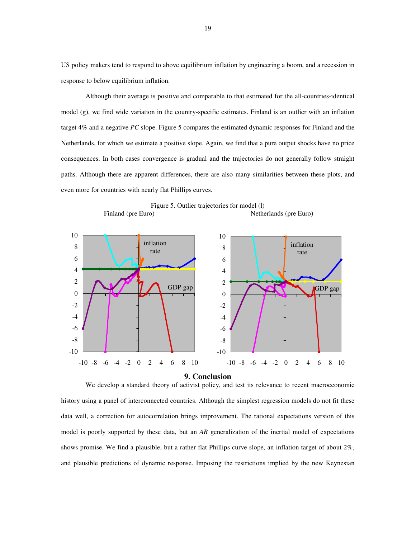US policy makers tend to respond to above equilibrium inflation by engineering a boom, and a recession in response to below equilibrium inflation.

Although their average is positive and comparable to that estimated for the all-countries-identical model (g), we find wide variation in the country-specific estimates. Finland is an outlier with an inflation target 4% and a negative *PC* slope. Figure 5 compares the estimated dynamic responses for Finland and the Netherlands, for which we estimate a positive slope. Again, we find that a pure output shocks have no price consequences. In both cases convergence is gradual and the trajectories do not generally follow straight paths. Although there are apparent differences, there are also many similarities between these plots, and even more for countries with nearly flat Phillips curves.



Figure 5. Outlier trajectories for model (l)<br>Finland (pre Euro) Nethe Netherlands (pre Euro)

#### **9. Conclusion**

We develop a standard theory of activist policy, and test its relevance to recent macroeconomic history using a panel of interconnected countries. Although the simplest regression models do not fit these data well, a correction for autocorrelation brings improvement. The rational expectations version of this model is poorly supported by these data, but an *AR* generalization of the inertial model of expectations shows promise. We find a plausible, but a rather flat Phillips curve slope, an inflation target of about 2%, and plausible predictions of dynamic response. Imposing the restrictions implied by the new Keynesian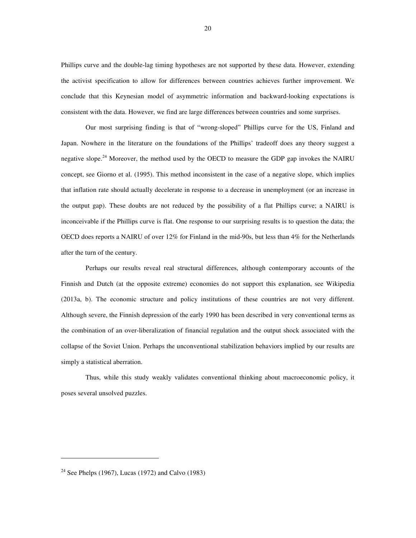Phillips curve and the double-lag timing hypotheses are not supported by these data. However, extending the activist specification to allow for differences between countries achieves further improvement. We conclude that this Keynesian model of asymmetric information and backward-looking expectations is consistent with the data. However, we find are large differences between countries and some surprises.

Our most surprising finding is that of "wrong-sloped" Phillips curve for the US, Finland and Japan. Nowhere in the literature on the foundations of the Phillips' tradeoff does any theory suggest a negative slope.<sup>24</sup> Moreover, the method used by the OECD to measure the GDP gap invokes the NAIRU concept, see Giorno et al. (1995). This method inconsistent in the case of a negative slope, which implies that inflation rate should actually decelerate in response to a decrease in unemployment (or an increase in the output gap). These doubts are not reduced by the possibility of a flat Phillips curve; a NAIRU is inconceivable if the Phillips curve is flat. One response to our surprising results is to question the data; the OECD does reports a NAIRU of over 12% for Finland in the mid-90s, but less than 4% for the Netherlands after the turn of the century.

Perhaps our results reveal real structural differences, although contemporary accounts of the Finnish and Dutch (at the opposite extreme) economies do not support this explanation, see Wikipedia (2013a, b). The economic structure and policy institutions of these countries are not very different. Although severe, the Finnish depression of the early 1990 has been described in very conventional terms as the combination of an over-liberalization of financial regulation and the output shock associated with the collapse of the Soviet Union. Perhaps the unconventional stabilization behaviors implied by our results are simply a statistical aberration.

Thus, while this study weakly validates conventional thinking about macroeconomic policy, it poses several unsolved puzzles.

<sup>&</sup>lt;sup>24</sup> See Phelps (1967), Lucas (1972) and Calvo (1983)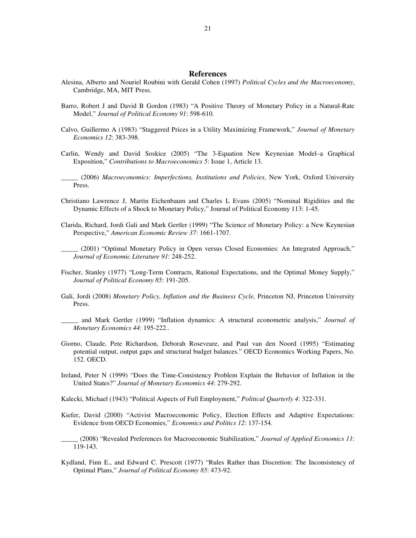### **References**

- Alesina, Alberto and Nouriel Roubini with Gerald Cohen (1997) *Political Cycles and the Macroeconomy*, Cambridge, MA, MIT Press.
- Barro, Robert J and David B Gordon (1983) "A Positive Theory of Monetary Policy in a Natural-Rate Model," *Journal of Political Economy 91*: 598-610.
- Calvo, Guillermo A (1983) "Staggered Prices in a Utility Maximizing Framework," *Journal of Monetary Economics 12*: 383-398.
- Carlin, Wendy and David Soskice (2005) "The 3-Equation New Keynesian Model–a Graphical Exposition," *Contributions to Macroeconomics 5*: Issue 1, Article 13.
- \_\_\_\_\_ (2006) *Macroeconomics: Imperfections, Institutions and Policies*, New York, Oxford University Press.
- Christiano Lawrence J, Martin Eichenbaum and Charles L Evans (2005) "Nominal Rigidities and the Dynamic Effects of a Shock to Monetary Policy," Journal of Political Economy 113: 1-45.
- Clarida, Richard, Jordi Gali and Mark Gertler (1999) "The Science of Monetary Policy: a New Keynesian Perspective," *American Economic Review 37*: 1661-1707.
- \_\_\_\_\_ (2001) "Optimal Monetary Policy in Open versus Closed Economies: An Integrated Approach," *Journal of Economic Literature 91*: 248-252.
- Fischer, Stanley (1977) "Long-Term Contracts, Rational Expectations, and the Optimal Money Supply," *Journal of Political Economy 85*: 191-205.
- Gali, Jordi (2008) *Monetary Policy, Inflation and the Business Cycle,* Princeton NJ, Princeton University Press.
- \_\_\_\_\_ and Mark Gertler (1999) "Inflation dynamics: A structural econometric analysis," *Journal of Monetary Economics 44*: 195-222..
- Giorno, Claude, Pete Richardson, Deborah Roseveare, and Paul van den Noord (1995) "Estimating potential output, output gaps and structural budget balances." OECD Economics Working Papers, No. 152. OECD.
- Ireland, Peter N (1999) "Does the Time-Consistency Problem Explain the Behavior of Inflation in the United States?" *Journal of Monetary Economics 44*: 279-292.
- Kalecki, Michael (1943) "Political Aspects of Full Employment," *Political Quarterly 4*: 322-331.
- Kiefer, David (2000) "Activist Macroeconomic Policy, Election Effects and Adaptive Expectations: Evidence from OECD Economies," *Economics and Politics 12*: 137-154.
- \_\_\_\_\_ (2008) "Revealed Preferences for Macroeconomic Stabilization," *Journal of Applied Economics 11*: 119-143.
- Kydland, Finn E., and Edward C. Prescott (1977) "Rules Rather than Discretion: The Inconsistency of Optimal Plans," *Journal of Political Economy 85*: 473-92.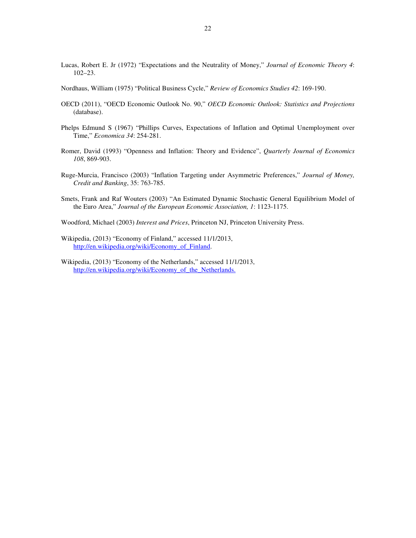- Lucas, Robert E. Jr (1972) "Expectations and the Neutrality of Money," *Journal of Economic Theory 4*: 102–23.
- Nordhaus, William (1975) "Political Business Cycle," *Review of Economics Studies 42*: 169-190.
- OECD (2011), "OECD Economic Outlook No. 90," *OECD Economic Outlook: Statistics and Projections* (database).
- Phelps Edmund S (1967) "Phillips Curves, Expectations of Inflation and Optimal Unemployment over Time," *Economica 34*: 254-281.
- Romer, David (1993) "Openness and Inflation: Theory and Evidence", *Quarterly Journal of Economics 108*, 869-903.
- Ruge-Murcia, Francisco (2003) "Inflation Targeting under Asymmetric Preferences," *Journal of Money, Credit and Banking*, 35: 763-785.
- Smets, Frank and Raf Wouters (2003) "An Estimated Dynamic Stochastic General Equilibrium Model of the Euro Area," *Journal of the European Economic Association, 1*: 1123-1175.
- Woodford, Michael (2003) *Interest and Prices*, Princeton NJ, Princeton University Press.
- Wikipedia, (2013) "Economy of Finland," accessed 11/1/2013, http://en.wikipedia.org/wiki/Economy\_of\_Finland.
- Wikipedia, (2013) "Economy of the Netherlands," accessed 11/1/2013, http://en.wikipedia.org/wiki/Economy of the Netherlands.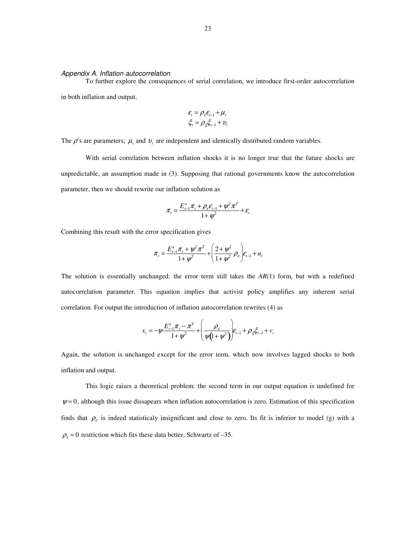#### Appendix A. Inflation autocorrelation

To further explore the consequences of serial correlation, we introduce first-order autocorrelation in both inflation and output.

$$
\mathcal{E}_t = \rho_{\varepsilon} \mathcal{E}_{t-1} + \mu_t
$$

$$
\xi_t = \rho_{\xi} \xi_{t-1} + \nu_t
$$

The  $\rho$ 's are parameters;  $\mu_t$  and  $v_t$  are independent and identically distributed random variables.

With serial correlation between inflation shocks it is no longer true that the future shocks are unpredictable, an assumption made in (3). Supposing that rational governments know the autocorrelation parameter, then we should rewrite our inflation solution as

$$
\pi_{t} = \frac{E_{t-1}^{a} \pi_{t} + \rho_{\varepsilon} \varepsilon_{t-1} + \psi^{2} \pi^{T}}{1 + \psi^{2}} + \varepsilon_{t}
$$

Combining this result with the error specification gives

$$
\pi_{t} = \frac{E_{t-1}^{a} \pi_{t} + \psi^{2} \pi^{T}}{1 + \psi^{2}} + \left(\frac{2 + \psi^{2}}{1 + \psi^{2}} \rho_{\varepsilon}\right) \varepsilon_{t-1} + u_{t}
$$

The solution is essentially unchanged: the error term still takes the *AR*(1) form, but with a redefined autocorrelation parameter. This equation implies that activist policy amplifies any inherent serial correlation. For output the introduction of inflation autocorrelation rewrites (4) as

$$
x_{t} = -\psi \frac{E_{t-1}^{a} \pi_{t} - \pi^{T}}{1 + \psi^{2}} + \left(\frac{\rho_{\varepsilon}}{\psi(1 + \psi^{2})}\right) E_{t-1} + \rho_{\xi} \xi_{t-1} + v_{t}
$$

Again, the solution is unchanged except for the error term, which now involves lagged shocks to both inflation and output.

 This logic raises a theoretical problem: the second term in our output equation is undefined for  $\psi = 0$ , although this issue dissapears when inflation autocorrelation is zero. Estimation of this specification finds that  $\rho<sub>\varepsilon</sub>$  is indeed statisticaly insignificant and close to zero. Its fit is inferior to model (g) with a  $\rho_{\varepsilon} = 0$  restriction which fits these data better, Schwartz of -35.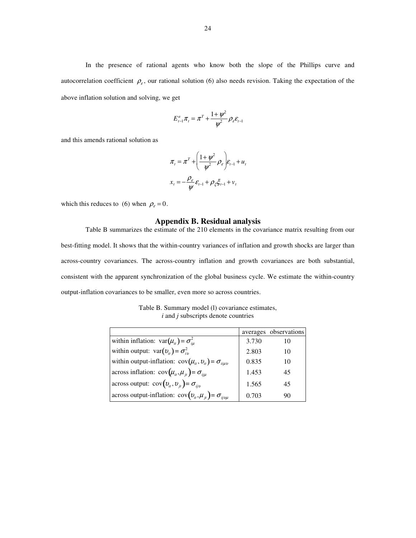In the presence of rational agents who know both the slope of the Phillips curve and autocorrelation coefficient  $\rho_{\varepsilon}$ , our rational solution (6) also needs revision. Taking the expectation of the above inflation solution and solving, we get

$$
E_{t-1}^a \pi_t = \pi^T + \frac{1 + \psi^2}{\psi^2} \rho_{\varepsilon} \varepsilon_{t-1}
$$

and this amends rational solution as

$$
\pi_{t} = \pi^{T} + \left(\frac{1 + \psi^{2}}{\psi^{2}} \rho_{\varepsilon}\right) \varepsilon_{t-1} + u_{t}
$$

$$
x_{t} = -\frac{\rho_{\varepsilon}}{\psi} \varepsilon_{t-1} + \rho_{\xi} \xi_{t-1} + v_{t}
$$

which this reduces to (6) when  $\rho_{\varepsilon} = 0$ .

## **Appendix B. Residual analysis**

Table B summarizes the estimate of the 210 elements in the covariance matrix resulting from our best-fitting model. It shows that the within-country variances of inflation and growth shocks are larger than across-country covariances. The across-country inflation and growth covariances are both substantial, consistent with the apparent synchronization of the global business cycle. We estimate the within-country output-inflation covariances to be smaller, even more so across countries.

| Table B. Summary model (1) covariance estimates, |
|--------------------------------------------------|
| $i$ and $j$ subscripts denote countries          |

|                                                                          |       | averages observations |
|--------------------------------------------------------------------------|-------|-----------------------|
| within inflation: $var(\mu_{it}) = \sigma_{iu}^2$                        | 3.730 | 10                    |
| within output: $var(v_{it}) = \sigma_{iv}^2$                             | 2.803 | 10                    |
| within output-inflation: $cov(\mu_{ii}, \nu_{ii}) = \sigma_{ii \mu \nu}$ | 0.835 | 10                    |
| across inflation: $cov(\mu_{it}, \mu_{it}) = \sigma_{it}$                | 1.453 | 45                    |
| across output: $cov(v_{it}, v_{it}) = \sigma_{iiv}$                      | 1.565 | 45                    |
| across output-inflation: $cov(v_{ii}, \mu_{ii}) = \sigma_{ijvu}$         | 0.703 | 90                    |